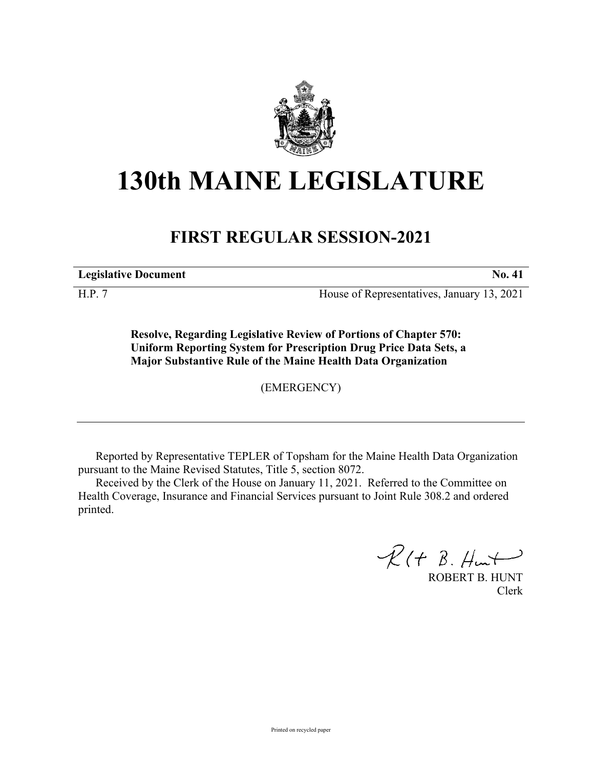

## **130th MAINE LEGISLATURE**

## **FIRST REGULAR SESSION-2021**

**Legislative Document No. 41**

H.P. 7 House of Representatives, January 13, 2021

**Resolve, Regarding Legislative Review of Portions of Chapter 570: Uniform Reporting System for Prescription Drug Price Data Sets, a Major Substantive Rule of the Maine Health Data Organization**

(EMERGENCY)

Reported by Representative TEPLER of Topsham for the Maine Health Data Organization pursuant to the Maine Revised Statutes, Title 5, section 8072.

Received by the Clerk of the House on January 11, 2021. Referred to the Committee on Health Coverage, Insurance and Financial Services pursuant to Joint Rule 308.2 and ordered printed.

 $R(t B. Hmt)$ 

ROBERT B. HUNT Clerk